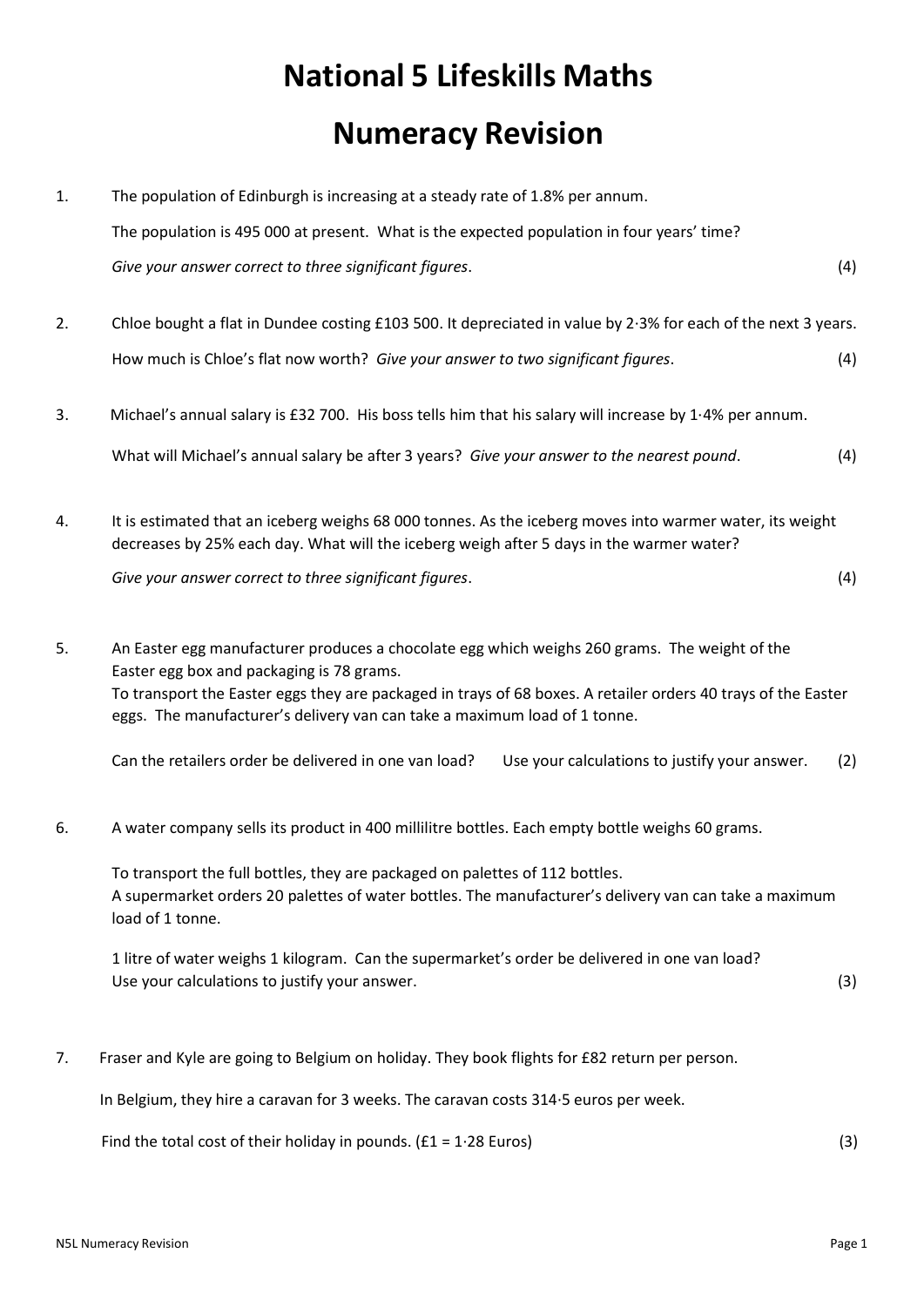## **National 5 Lifeskills Maths Numeracy Revision**

| 1. | The population of Edinburgh is increasing at a steady rate of 1.8% per annum.                                                                                                                                                                                                                                                            |     |
|----|------------------------------------------------------------------------------------------------------------------------------------------------------------------------------------------------------------------------------------------------------------------------------------------------------------------------------------------|-----|
|    | The population is 495 000 at present. What is the expected population in four years' time?                                                                                                                                                                                                                                               |     |
|    | Give your answer correct to three significant figures.                                                                                                                                                                                                                                                                                   | (4) |
| 2. | Chloe bought a flat in Dundee costing £103 500. It depreciated in value by 2.3% for each of the next 3 years.                                                                                                                                                                                                                            |     |
|    | How much is Chloe's flat now worth? Give your answer to two significant figures.                                                                                                                                                                                                                                                         | (4) |
| 3. | Michael's annual salary is £32 700. His boss tells him that his salary will increase by 1.4% per annum.                                                                                                                                                                                                                                  |     |
|    | What will Michael's annual salary be after 3 years? Give your answer to the nearest pound.                                                                                                                                                                                                                                               | (4) |
| 4. | It is estimated that an iceberg weighs 68 000 tonnes. As the iceberg moves into warmer water, its weight<br>decreases by 25% each day. What will the iceberg weigh after 5 days in the warmer water?                                                                                                                                     |     |
|    | Give your answer correct to three significant figures.                                                                                                                                                                                                                                                                                   | (4) |
| 5. | An Easter egg manufacturer produces a chocolate egg which weighs 260 grams. The weight of the<br>Easter egg box and packaging is 78 grams.<br>To transport the Easter eggs they are packaged in trays of 68 boxes. A retailer orders 40 trays of the Easter<br>eggs. The manufacturer's delivery van can take a maximum load of 1 tonne. |     |
|    | Can the retailers order be delivered in one van load?<br>Use your calculations to justify your answer.                                                                                                                                                                                                                                   | (2) |
| 6. | A water company sells its product in 400 millilitre bottles. Each empty bottle weighs 60 grams.                                                                                                                                                                                                                                          |     |
|    | To transport the full bottles, they are packaged on palettes of 112 bottles.<br>A supermarket orders 20 palettes of water bottles. The manufacturer's delivery van can take a maximum<br>load of 1 tonne.                                                                                                                                |     |
|    | 1 litre of water weighs 1 kilogram. Can the supermarket's order be delivered in one van load?<br>Use your calculations to justify your answer.                                                                                                                                                                                           | (3) |
| 7. | Fraser and Kyle are going to Belgium on holiday. They book flights for £82 return per person.                                                                                                                                                                                                                                            |     |

In Belgium, they hire a caravan for 3 weeks. The caravan costs 314∙5 euros per week.

Find the total cost of their holiday in pounds.  $(f1 = 1.28$  Euros) (3)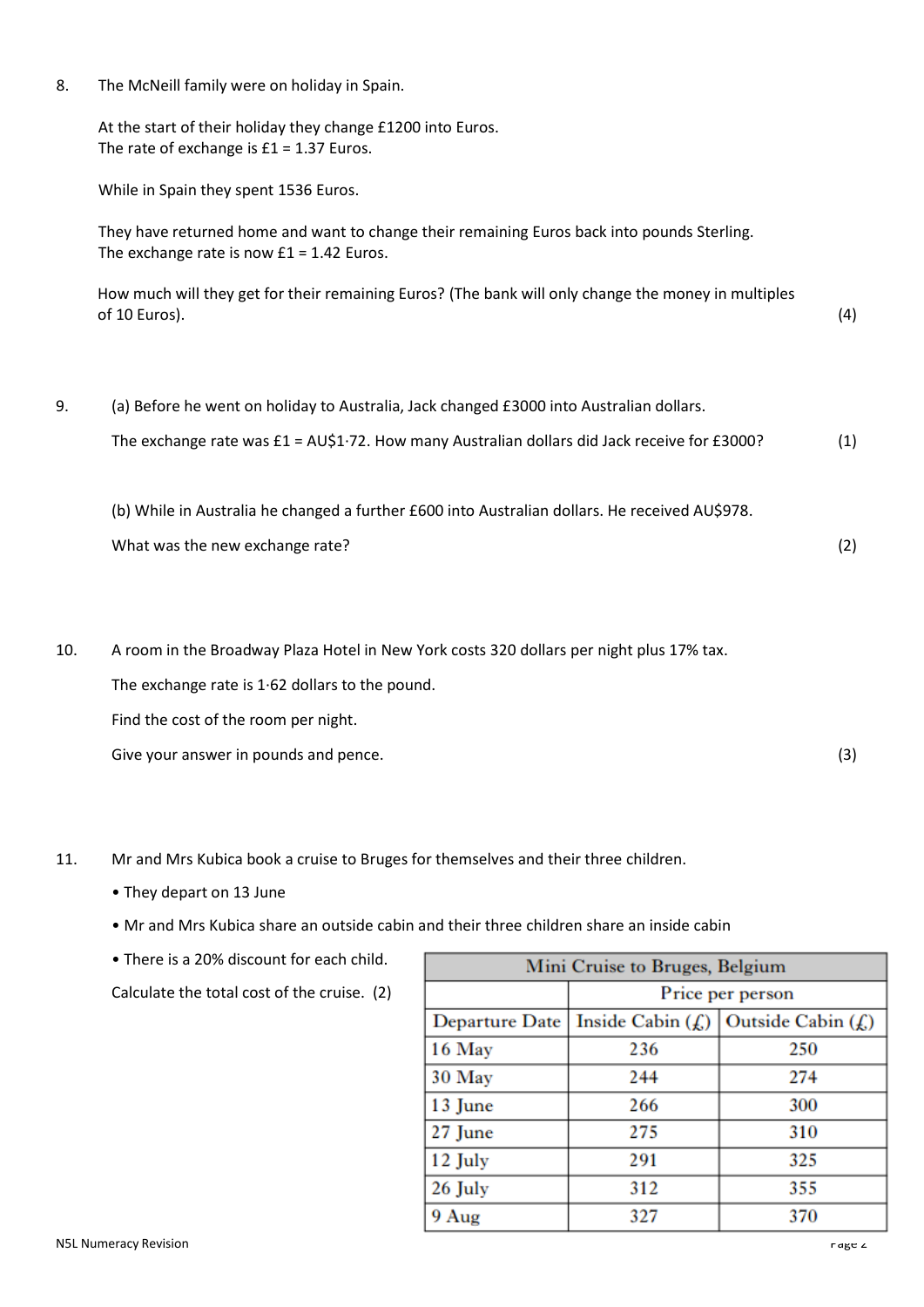8. The McNeill family were on holiday in Spain.

At the start of their holiday they change £1200 into Euros. The rate of exchange is  $£1 = 1.37$  Euros.

While in Spain they spent 1536 Euros.

They have returned home and want to change their remaining Euros back into pounds Sterling. The exchange rate is now  $£1 = 1.42$  Euros.

How much will they get for their remaining Euros? (The bank will only change the money in multiples  $\sigma$ f 10 Euros). (4)

9. (a) Before he went on holiday to Australia, Jack changed £3000 into Australian dollars.

The exchange rate was £1 = AU\$1∙72. How many Australian dollars did Jack receive for £3000? (1)

(b) While in Australia he changed a further £600 into Australian dollars. He received AU\$978. What was the new exchange rate? (2) (2)

10. A room in the Broadway Plaza Hotel in New York costs 320 dollars per night plus 17% tax.

The exchange rate is 1∙62 dollars to the pound.

Find the cost of the room per night.

Give your answer in pounds and pence. (3)

- 11. Mr and Mrs Kubica book a cruise to Bruges for themselves and their three children.
	- They depart on 13 June
	- Mr and Mrs Kubica share an outside cabin and their three children share an inside cabin
	- There is a 20% discount for each child.

Calculate the total cost of the cruise. (2)

| Mini Cruise to Bruges, Belgium |                      |                       |  |  |  |  |  |  |
|--------------------------------|----------------------|-----------------------|--|--|--|--|--|--|
|                                | Price per person     |                       |  |  |  |  |  |  |
| Departure Date                 | Inside Cabin $(f_n)$ | Outside Cabin $(f_n)$ |  |  |  |  |  |  |
| 16 May                         | 236                  | 250                   |  |  |  |  |  |  |
| 30 May                         | 244                  | 274                   |  |  |  |  |  |  |
| 13 June                        | 266                  | 300                   |  |  |  |  |  |  |
| 27 June                        | 275                  | 310                   |  |  |  |  |  |  |
| 12 July                        | 291                  | 325                   |  |  |  |  |  |  |
| 26 July                        | 312                  | 355                   |  |  |  |  |  |  |
| 9 Aug                          | 327                  | 370                   |  |  |  |  |  |  |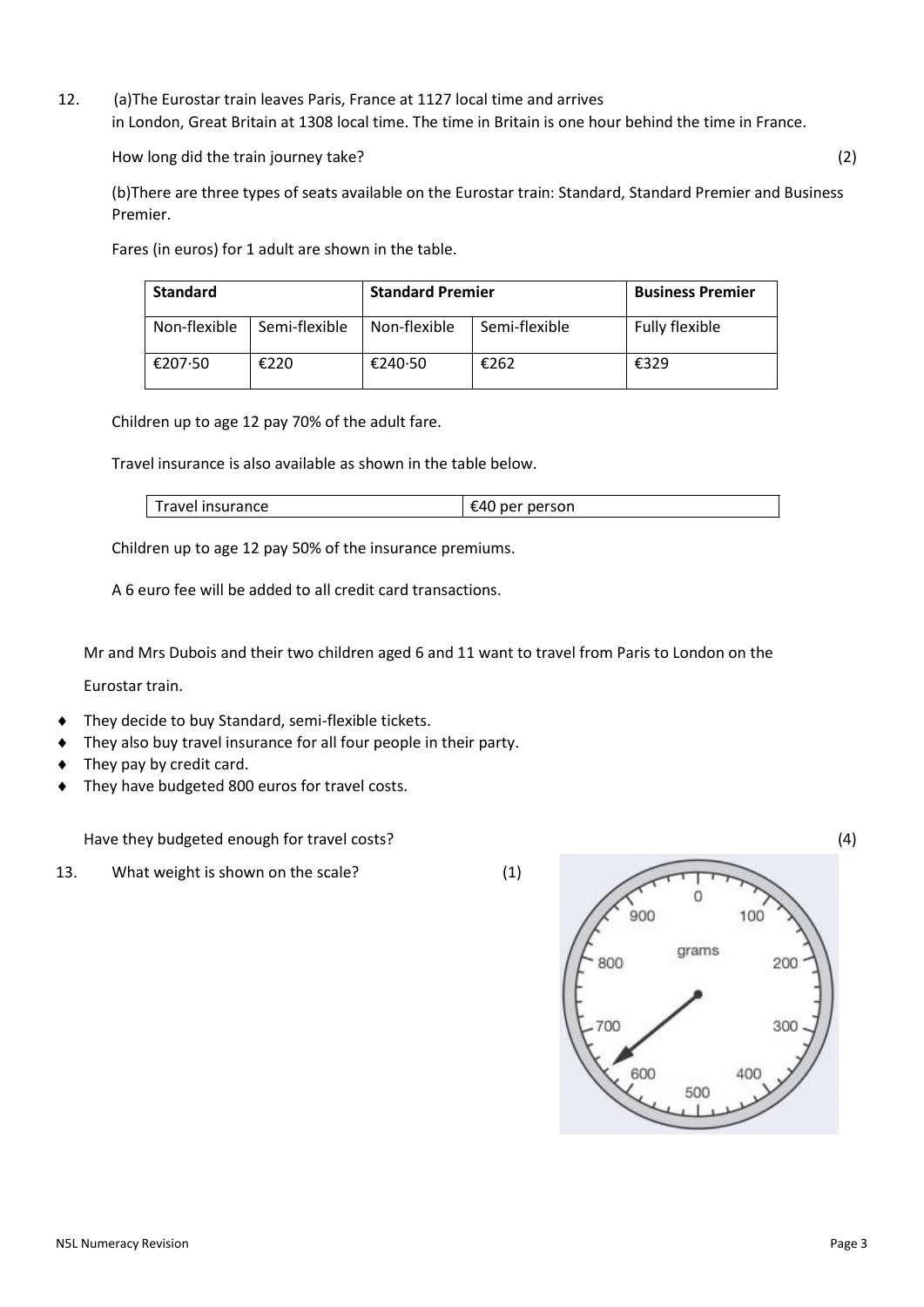12. (a)The Eurostar train leaves Paris, France at 1127 local time and arrives in London, Great Britain at 1308 local time. The time in Britain is one hour behind the time in France.

How long did the train journey take? (2)

(b)There are three types of seats available on the Eurostar train: Standard, Standard Premier and Business Premier.

Fares (in euros) for 1 adult are shown in the table.

| <b>Standard</b> |               | <b>Standard Premier</b> | <b>Business Premier</b> |                       |  |
|-----------------|---------------|-------------------------|-------------------------|-----------------------|--|
| Non-flexible    | Semi-flexible | Non-flexible            | Semi-flexible           | <b>Fully flexible</b> |  |
| €207.50         | €220          | €240.50                 | €262                    | €329                  |  |

Children up to age 12 pay 70% of the adult fare.

Travel insurance is also available as shown in the table below.

| avel insurance | person<br>.<br>$\sim$ |
|----------------|-----------------------|
|----------------|-----------------------|

Children up to age 12 pay 50% of the insurance premiums.

A 6 euro fee will be added to all credit card transactions.

Mr and Mrs Dubois and their two children aged 6 and 11 want to travel from Paris to London on the

Eurostar train.

- They decide to buy Standard, semi‐flexible tickets.
- They also buy travel insurance for all four people in their party.
- They pay by credit card.
- They have budgeted 800 euros for travel costs.

Have they budgeted enough for travel costs? (4)

13. What weight is shown on the scale? (1)



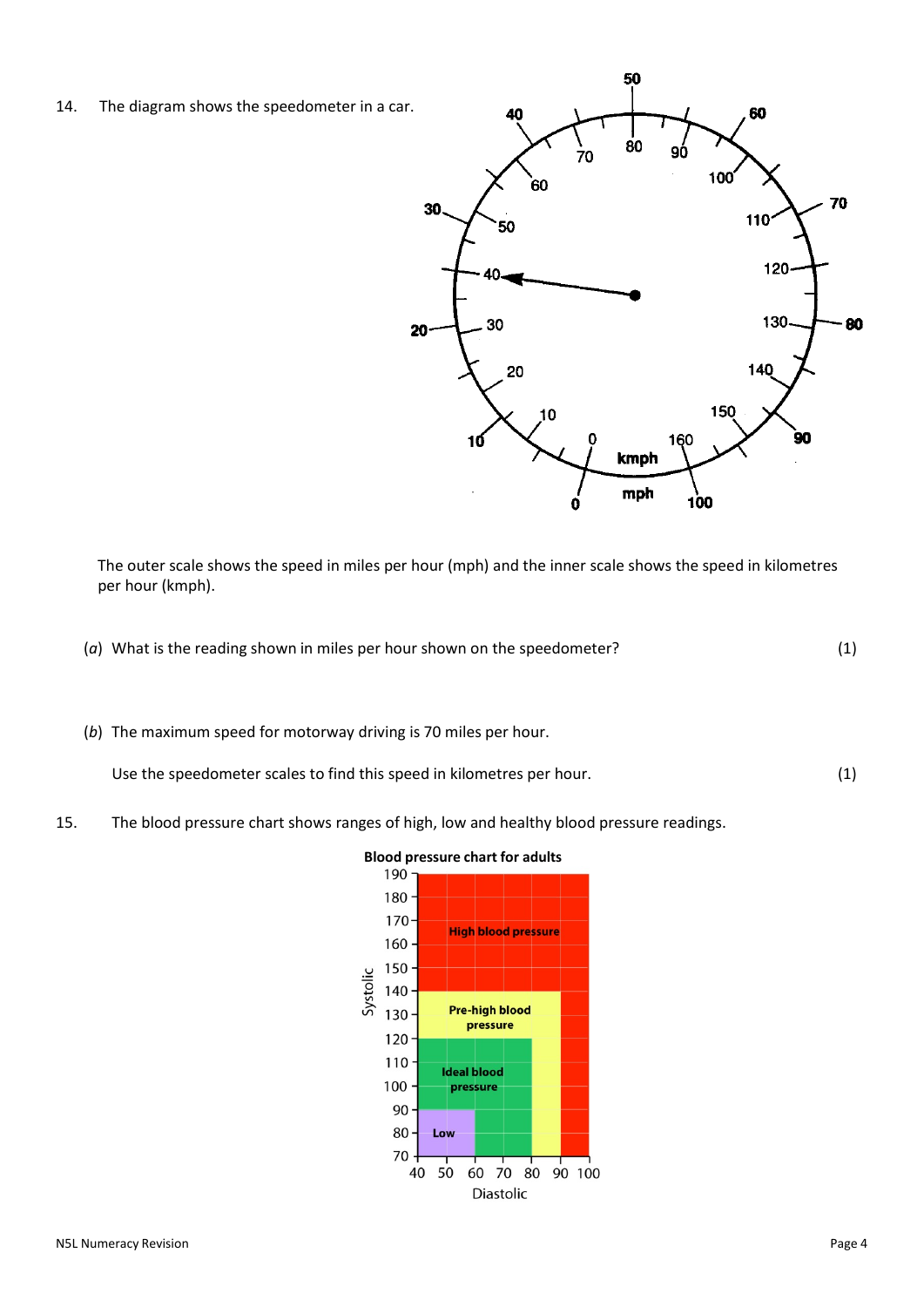

The outer scale shows the speed in miles per hour (mph) and the inner scale shows the speed in kilometres per hour (kmph).

- (*a*) What is the reading shown in miles per hour shown on the speedometer? (1)
- (*b*) The maximum speed for motorway driving is 70 miles per hour.

Use the speedometer scales to find this speed in kilometres per hour. (1)

15. The blood pressure chart shows ranges of high, low and healthy blood pressure readings.



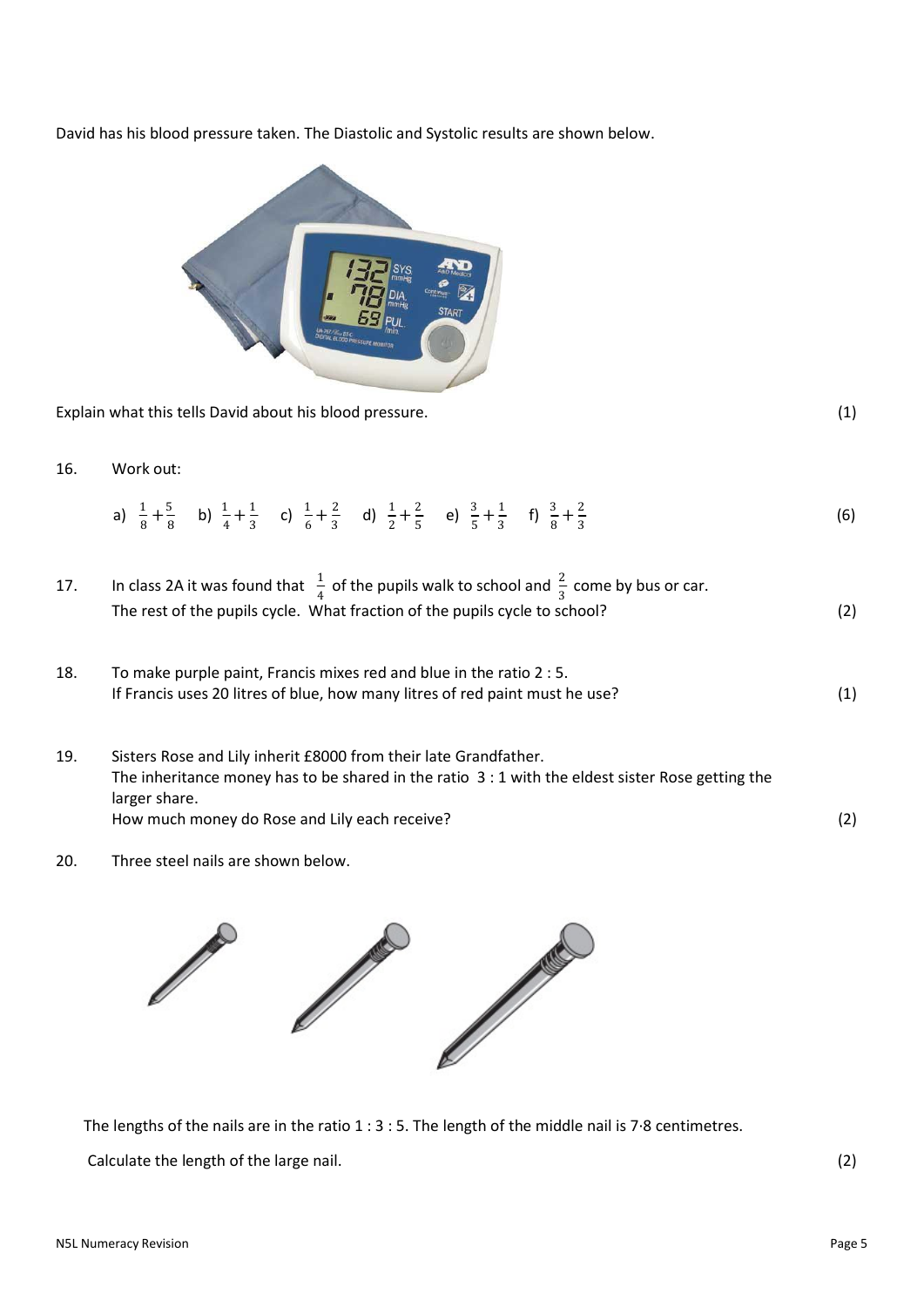David has his blood pressure taken. The Diastolic and Systolic results are shown below.



Explain what this tells David about his blood pressure. (1)

16. Work out:

|  |  |  |  |  | a) $\frac{1}{8} + \frac{5}{8}$ b) $\frac{1}{4} + \frac{1}{3}$ c) $\frac{1}{6} + \frac{2}{3}$ d) $\frac{1}{2} + \frac{2}{5}$ e) $\frac{3}{5} + \frac{1}{3}$ f) $\frac{3}{8} + \frac{2}{3}$ | (6) |
|--|--|--|--|--|-------------------------------------------------------------------------------------------------------------------------------------------------------------------------------------------|-----|
|--|--|--|--|--|-------------------------------------------------------------------------------------------------------------------------------------------------------------------------------------------|-----|

| 17. | In class 2A it was found that $\frac{1}{4}$ of the pupils walk to school and $\frac{2}{3}$ come by bus or car. |     |
|-----|----------------------------------------------------------------------------------------------------------------|-----|
|     | The rest of the pupils cycle. What fraction of the pupils cycle to school?                                     | (2) |

- 18. To make purple paint, Francis mixes red and blue in the ratio 2 : 5. If Francis uses 20 litres of blue, how many litres of red paint must he use? (1)
- 19. Sisters Rose and Lily inherit £8000 from their late Grandfather. The inheritance money has to be shared in the ratio 3 : 1 with the eldest sister Rose getting the larger share. How much money do Rose and Lily each receive?
- 20. Three steel nails are shown below.



The lengths of the nails are in the ratio 1 : 3 : 5. The length of the middle nail is 7∙8 centimetres.

Calculate the length of the large nail. (2) (2)

(2)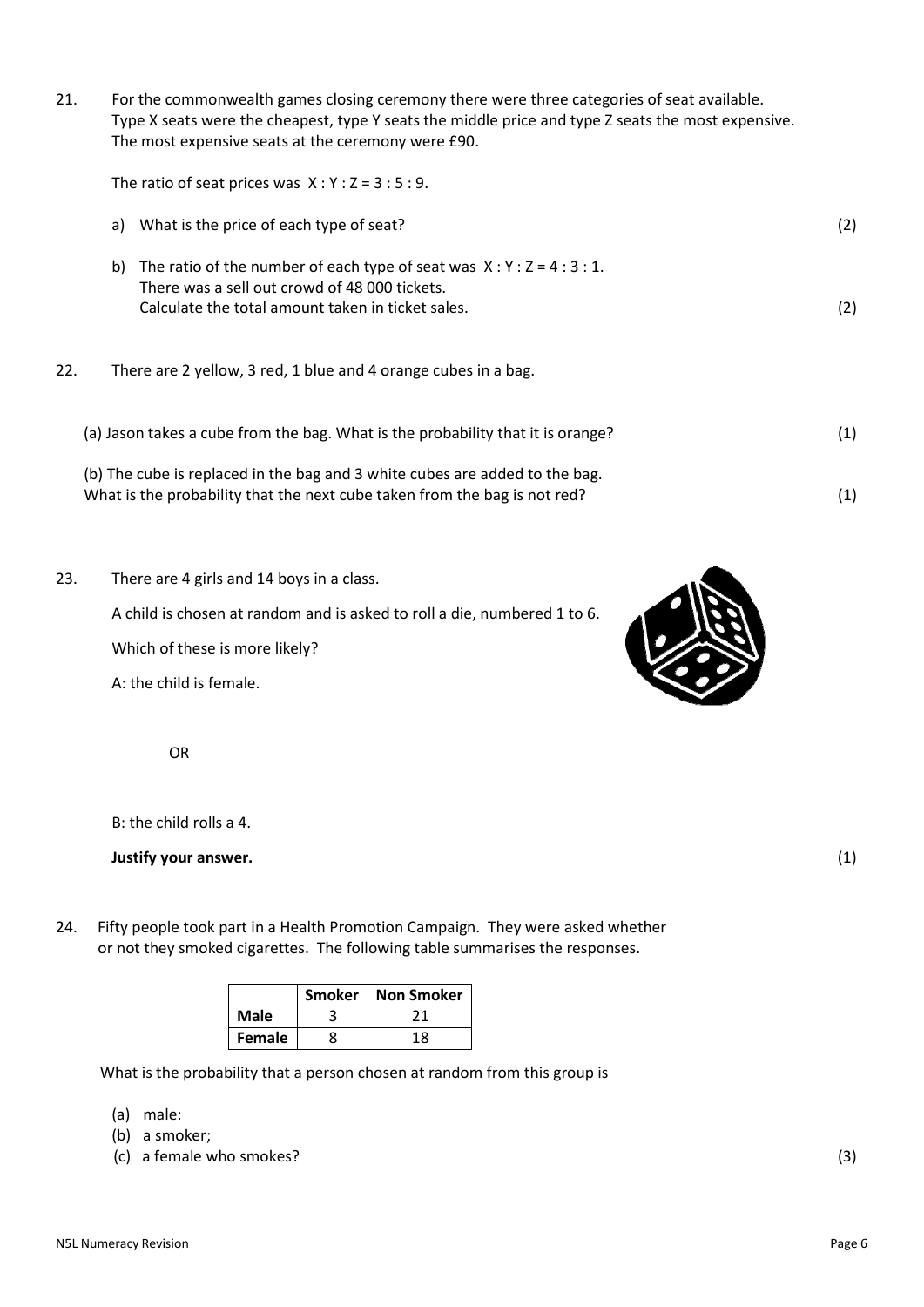21. For the commonwealth games closing ceremony there were three categories of seat available. Type X seats were the cheapest, type Y seats the middle price and type Z seats the most expensive. The most expensive seats at the ceremony were £90.

The ratio of seat prices was  $X:Y:Z = 3:5:9$ .

- a) What is the price of each type of seat? (2)
- b) The ratio of the number of each type of seat was  $X:Y:Z = 4:3:1$ . There was a sell out crowd of 48 000 tickets. Calculate the total amount taken in ticket sales. (2)
- 22. There are 2 yellow, 3 red, 1 blue and 4 orange cubes in a bag.
	- (a) Jason takes a cube from the bag. What is the probability that it is orange? (1) (b) The cube is replaced in the bag and 3 white cubes are added to the bag. What is the probability that the next cube taken from the bag is not red? (1)
- 23. There are 4 girls and 14 boys in a class.

A child is chosen at random and is asked to roll a die, numbered 1 to 6.

Which of these is more likely?

A: the child is female.

OR

B: the child rolls a 4.

**Justify your answer.** (1)

24. Fifty people took part in a Health Promotion Campaign. They were asked whether or not they smoked cigarettes. The following table summarises the responses.

|        | <b>Smoker</b> | <b>Non Smoker</b> |
|--------|---------------|-------------------|
| Male   |               |                   |
| Female |               | 18                |

What is the probability that a person chosen at random from this group is

- (a) male:
- (b) a smoker;
- (c) a female who smokes? (3) (3)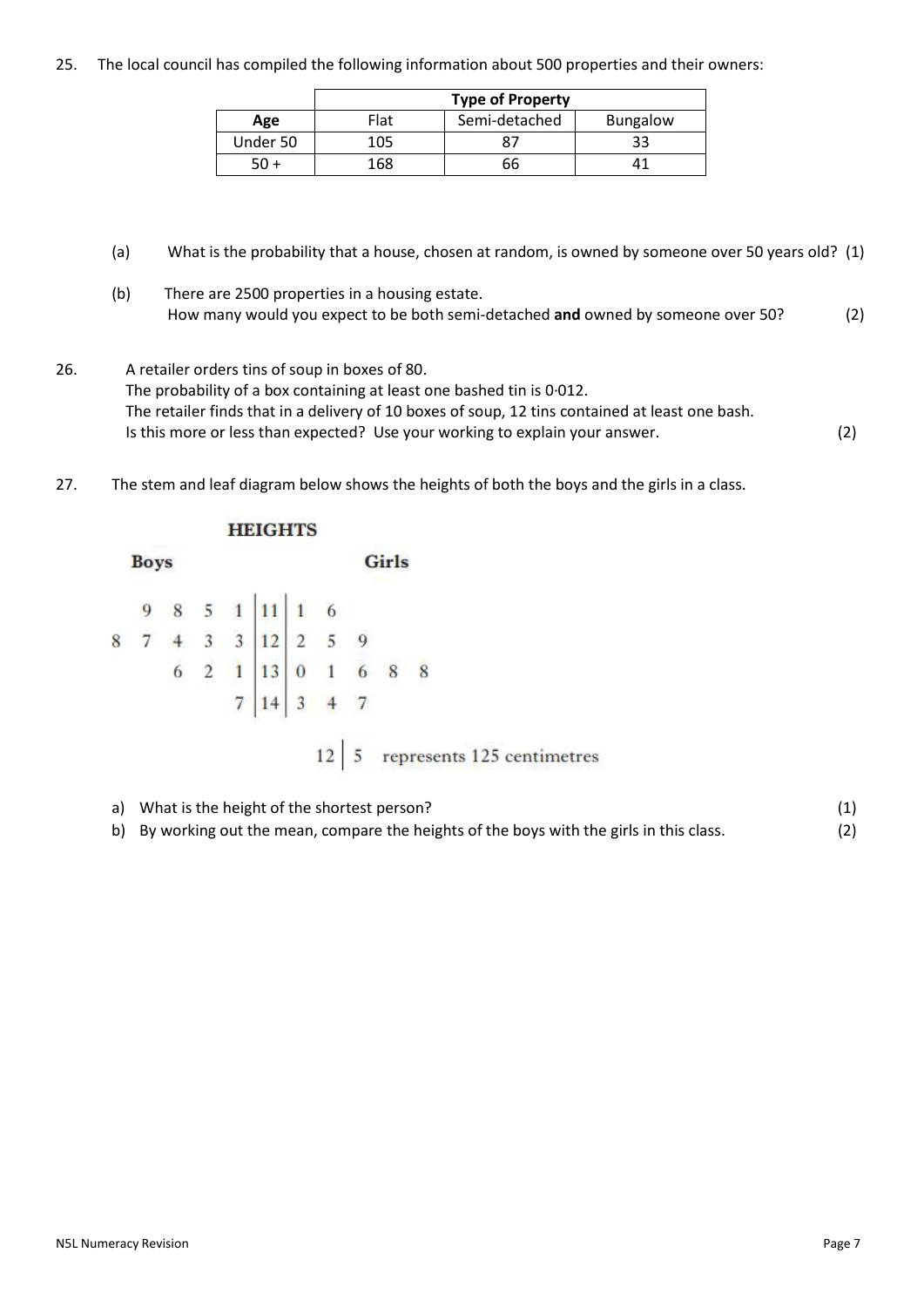25. The local council has compiled the following information about 500 properties and their owners:

|          | <b>Type of Property</b> |               |                 |  |  |  |  |  |  |
|----------|-------------------------|---------------|-----------------|--|--|--|--|--|--|
| Age      | Flat                    | Semi-detached | <b>Bungalow</b> |  |  |  |  |  |  |
| Under 50 | 105                     |               | 33              |  |  |  |  |  |  |
|          | 168                     | 66            |                 |  |  |  |  |  |  |

- (a) What is the probability that a house, chosen at random, is owned by someone over 50 years old? (1)
- (b) There are 2500 properties in a housing estate. How many would you expect to be both semi‐detached **and** owned by someone over 50? (2)
- 26. A retailer orders tins of soup in boxes of 80. The probability of a box containing at least one bashed tin is 0∙012. The retailer finds that in a delivery of 10 boxes of soup, 12 tins contained at least one bash. Is this more or less than expected? Use your working to explain your answer. (2)
- 27. The stem and leaf diagram below shows the heights of both the boys and the girls in a class.

| <b>Boys</b>    |  |  |  |                                                                        |  | Girls |  |
|----------------|--|--|--|------------------------------------------------------------------------|--|-------|--|
|                |  |  |  | 9 8 5 1 11 1 6<br>7 4 3 3 12 2 5 9<br>6 2 1 13 0 1 6 8 8<br>7 14 3 4 7 |  |       |  |
| $\overline{8}$ |  |  |  |                                                                        |  |       |  |
|                |  |  |  |                                                                        |  |       |  |
|                |  |  |  | 7 14                                                                   |  |       |  |

a) What is the height of the shortest person? (1) b) By working out the mean, compare the heights of the boys with the girls in this class. (2)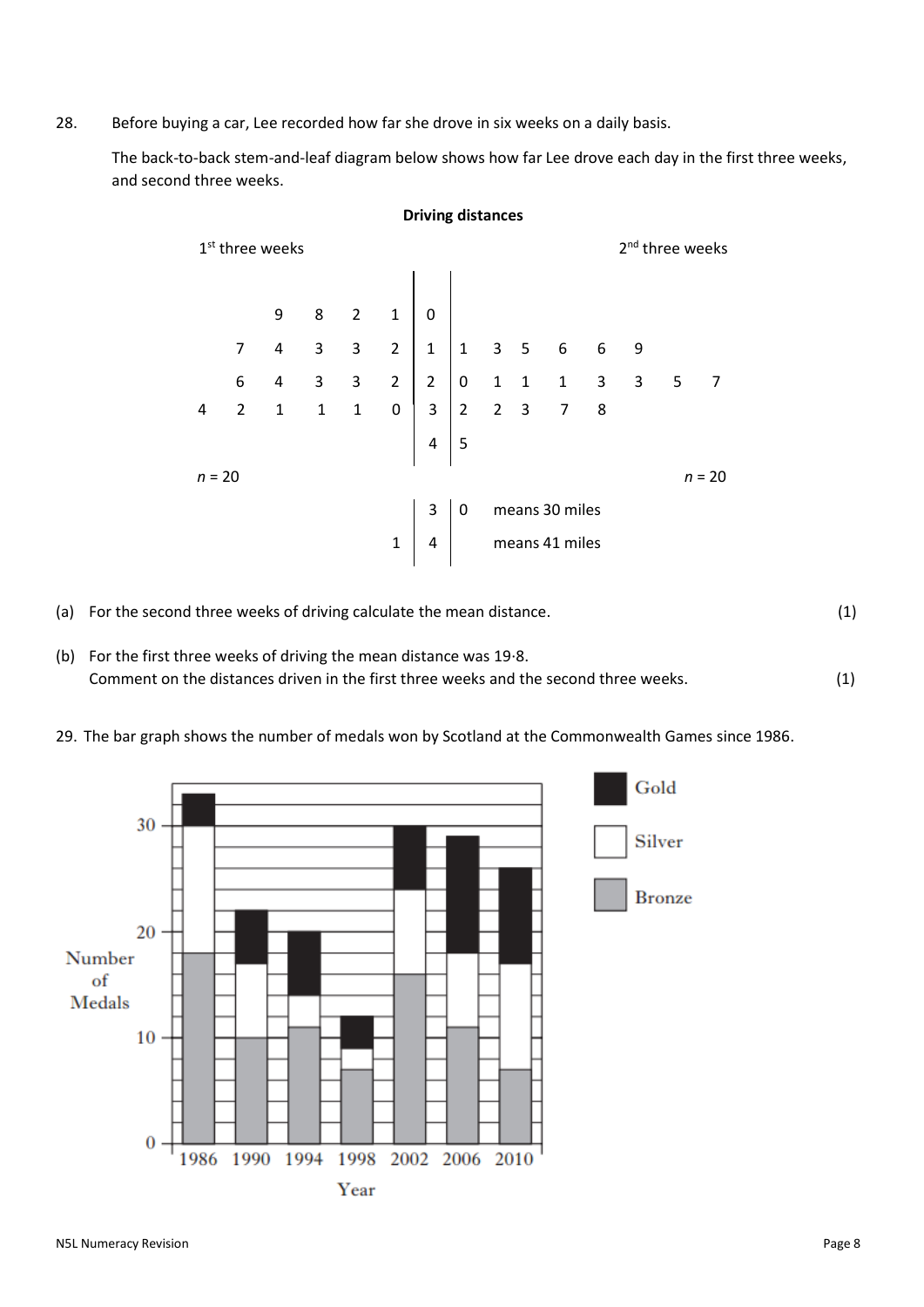28. Before buying a car, Lee recorded how far she drove in six weeks on a daily basis.

The back-to-back stem-and-leaf diagram below shows how far Lee drove each day in the first three weeks, and second three weeks.

**Driving distances**

| ັ<br>2 <sup>nd</sup> three weeks<br>1 <sup>st</sup> three weeks |                      |                |                |              |                |                |                  |  |                |                |   |                                                                                      |  |   |
|-----------------------------------------------------------------|----------------------|----------------|----------------|--------------|----------------|----------------|------------------|--|----------------|----------------|---|--------------------------------------------------------------------------------------|--|---|
|                                                                 |                      | 9              | 8              | $2^{\circ}$  | $\mathbf 1$    | $\mathbf 0$    |                  |  |                |                |   |                                                                                      |  |   |
|                                                                 | $\overline{7}$       | $\overline{4}$ | 3              | 3            | $2^{\circ}$    | $\overline{1}$ | $^{\prime}$ 1    |  | 3 <sub>5</sub> | 6              | 6 | 9                                                                                    |  |   |
|                                                                 | 6                    | 4              | $\overline{3}$ | $\mathbf{3}$ | $\overline{2}$ | $\overline{2}$ | $\boldsymbol{0}$ |  |                |                |   | $\begin{array}{ccccccc}\n & 1 & 1 & 1 & 3 & 3 & 5 \\  & 2 & 3 & 7 & 8 & \end{array}$ |  | 7 |
| 4                                                               | $\overline{2}$       | $\mathbf{1}$   | $\mathbf{1}$   | $\mathbf{1}$ | $\pmb{0}$      | $3 \mid 2$     |                  |  |                |                |   |                                                                                      |  |   |
|                                                                 |                      |                |                |              |                | $\overline{4}$ | 5                |  |                |                |   |                                                                                      |  |   |
|                                                                 | $n = 20$<br>$n = 20$ |                |                |              |                |                |                  |  |                |                |   |                                                                                      |  |   |
|                                                                 |                      |                |                |              |                | 3              | 0                |  |                | means 30 miles |   |                                                                                      |  |   |
|                                                                 |                      |                |                |              | $\mathbf{1}$   | $\overline{4}$ |                  |  |                | means 41 miles |   |                                                                                      |  |   |

- (a) For the second three weeks of driving calculate the mean distance. (1)
- (b) For the first three weeks of driving the mean distance was 19∙8. Comment on the distances driven in the first three weeks and the second three weeks. (1)
- 29. The bar graph shows the number of medals won by Scotland at the Commonwealth Games since 1986.

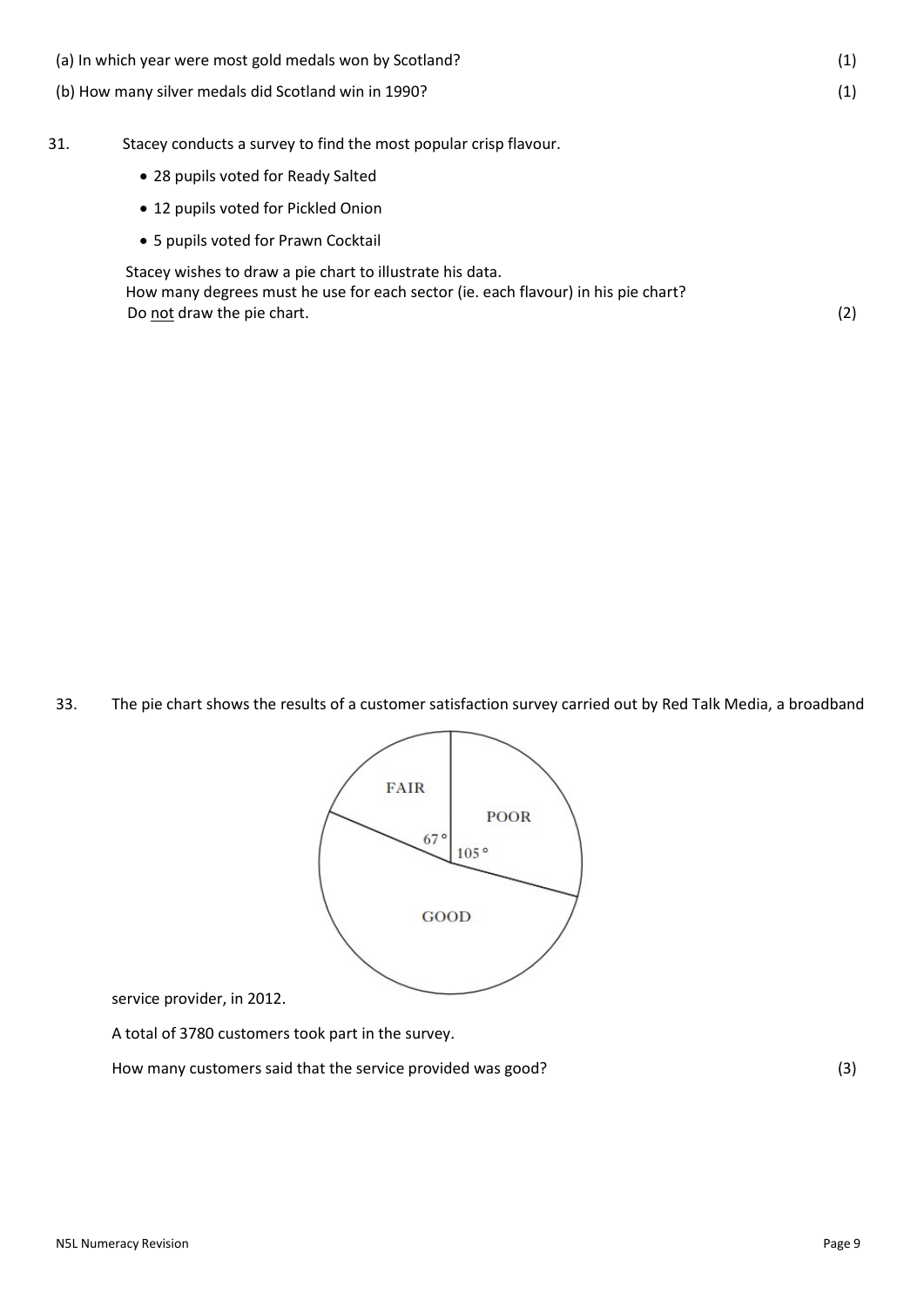(a) In which year were most gold medals won by Scotland? (1) (b) How many silver medals did Scotland win in 1990? (1) 31. Stacey conducts a survey to find the most popular crisp flavour. 28 pupils voted for Ready Salted 12 pupils voted for Pickled Onion 5 pupils voted for Prawn Cocktail Stacey wishes to draw a pie chart to illustrate his data. How many degrees must he use for each sector (ie. each flavour) in his pie chart? Do not draw the pie chart. (2)

33. The pie chart shows the results of a customer satisfaction survey carried out by Red Talk Media, a broadband



service provider, in 2012.

A total of 3780 customers took part in the survey.

How many customers said that the service provided was good? (3)